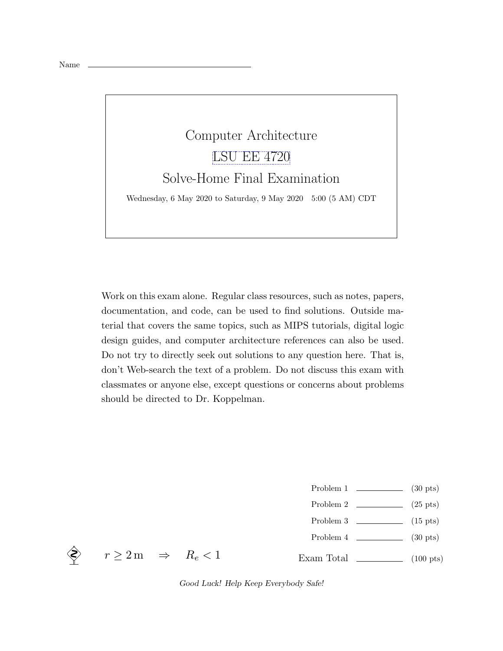

Work on this exam alone. Regular class resources, such as notes, papers, documentation, and code, can be used to find solutions. Outside material that covers the same topics, such as MIPS tutorials, digital logic design guides, and computer architecture references can also be used. Do not try to directly seek out solutions to any question here. That is, don't Web-search the text of a problem. Do not discuss this exam with classmates or anyone else, except questions or concerns about problems should be directed to Dr. Koppelman.

- Problem 1 (30 pts)
- Problem 2  $\qquad \qquad$  (25 pts)
- Problem 3  $\qquad \qquad$  (15 pts)
- Problem 4 (30 pts)
- Exam Total  $\qquad \qquad$  (100 pts)



 $r \geq 2 \,\mathrm{m} \Rightarrow R_e < 1$ 

Good Luck! Help Keep Everybody Safe!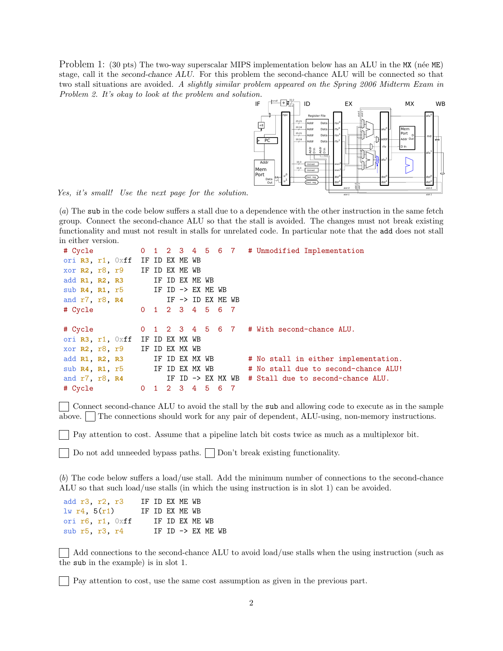Problem 1: (30 pts) The two-way superscalar MIPS implementation below has an ALU in the MX (née ME) stage, call it the second-chance ALU. For this problem the second-chance ALU will be connected so that two stall situations are avoided. A slightly similar problem appeared on the Spring 2006 Midterm Exam in Problem 2. It's okay to look at the problem and solution.



Yes, it's small! Use the next page for the solution.

(a) The sub in the code below suffers a stall due to a dependence with the other instruction in the same fetch group. Connect the second-chance ALU so that the stall is avoided. The changes must not break existing functionality and must not result in stalls for unrelated code. In particular note that the add does not stall in either version.

```
# Cycle 0 1 2 3 4 5 6 7 # Unmodified Implementation
ori R3, r1, 0xff IF ID EX ME WB
xor R2, r8, r9 IF ID EX ME WB
add R1, R2, R3 IF ID EX ME WB
sub R4, R1, r5 IF ID -> EX ME WB
and r7, r8, R4 IF -> ID EX ME WB
# Cycle 0 1 2 3 4 5 6 7
# Cycle 0 1 2 3 4 5 6 7 # With second-chance ALU.
ori R3, r1, 0xff IF ID EX MX WB
xor R2, r8, r9 IF ID EX MX WB
add R1, R2, R3 IF ID EX MX WB # No stall in either implementation.
sub R4, R1, r5 IF ID EX MX WB # No stall due to second-chance ALU!
and r7, r8, R4 IF ID -> EX MX WB # Stall due to second-chance ALU.
# Cycle 0 1 2 3 4 5 6 7
```
Connect second-chance ALU to avoid the stall by the sub and allowing code to execute as in the sample above. The connections should work for any pair of dependent, ALU-using, non-memory instructions.

Pay attention to cost. Assume that a pipeline latch bit costs twice as much as a multiplexor bit.

Do not add unneeded bypass paths.  $\vert$  Don't break existing functionality.

(b) The code below suffers a load/use stall. Add the minimum number of connections to the second-chance ALU so that such load/use stalls (in which the using instruction is in slot 1) can be avoided.

| add r3, r2, r3           |  | IF ID EX ME WB |                              |  |
|--------------------------|--|----------------|------------------------------|--|
| 1w r4, 5(r1)             |  | IF ID EX ME WB |                              |  |
| ori $r6$ , $r1$ , $0xff$ |  | IF ID EX ME WB |                              |  |
| sub $r5$ , $r3$ , $r4$   |  |                | IF ID $\rightarrow$ EX ME WB |  |

Add connections to the second-chance ALU to avoid load/use stalls when the using instruction (such as the sub in the example) is in slot 1.

Pay attention to cost, use the same cost assumption as given in the previous part.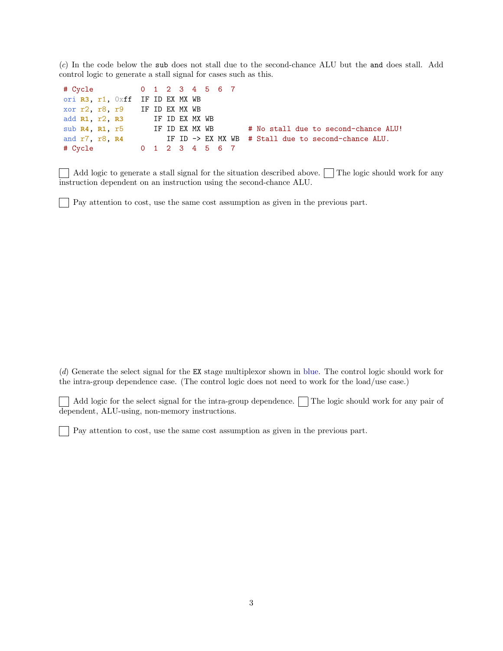(c) In the code below the sub does not stall due to the second-chance ALU but the and does stall. Add control logic to generate a stall signal for cases such as this.

| # Cycle 0 1 2 3 4 5 6 7         |  |  |  |  |                                                     |
|---------------------------------|--|--|--|--|-----------------------------------------------------|
| ori R3, r1, Oxff IF ID EX MX WB |  |  |  |  |                                                     |
| xor r2, r8, r9 IF ID EX MX WB   |  |  |  |  |                                                     |
| add R1, r2, R3 IF ID EX MX WB   |  |  |  |  |                                                     |
| sub R4, R1, r5 IF ID EX MX WB   |  |  |  |  | # No stall due to second-chance ALU!                |
| and r7, r8, R4                  |  |  |  |  | IF ID -> EX MX WB # Stall due to second-chance ALU. |
| # Cycle 0 1 2 3 4 5 6 7         |  |  |  |  |                                                     |

Add logic to generate a stall signal for the situation described above.  $\Box$  The logic should work for any  $\mathbf{L}$ instruction dependent on an instruction using the second-chance ALU.

Pay attention to cost, use the same cost assumption as given in the previous part.

(d) Generate the select signal for the EX stage multiplexor shown in blue. The control logic should work for the intra-group dependence case. (The control logic does not need to work for the load/use case.)

Add logic for the select signal for the intra-group dependence. The logic should work for any pair of dependent, ALU-using, non-memory instructions.

Pay attention to cost, use the same cost assumption as given in the previous part.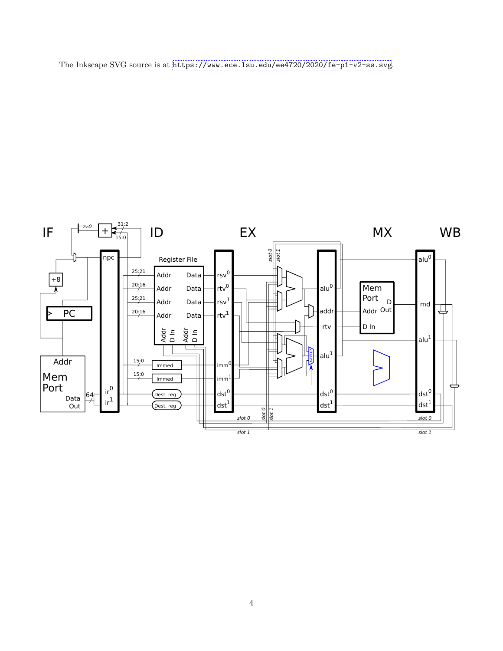

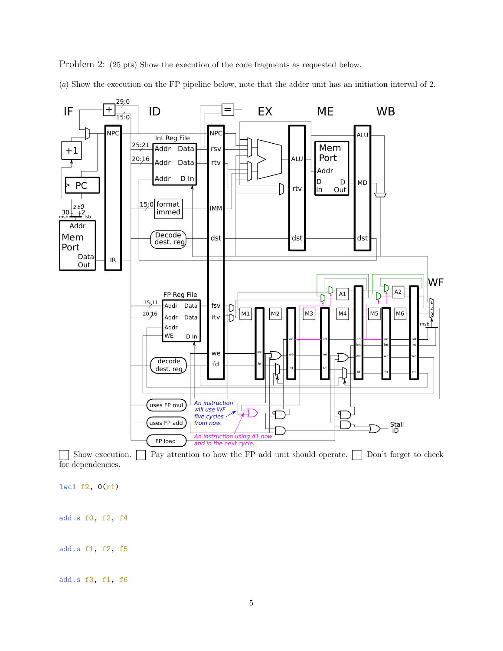

(a) Show the execution on the FP pipeline below, note that the adder unit has an initiation interval of 2.



Show execution.  $\Box$  Pay attention to how the FP add unit should operate.  $\Box$  Don't forget to check for dependencies.

lwc1 f2, 0(r1)

add.s f0, f2, f4

add.s f1, f2, f5

add.s f3, f1, f6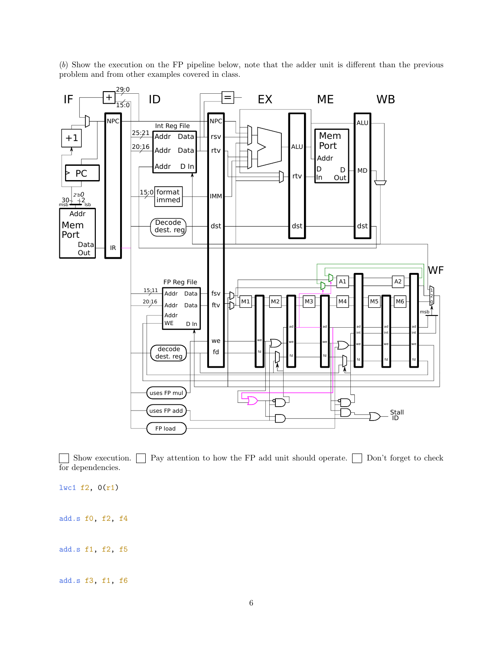(b) Show the execution on the FP pipeline below, note that the adder unit is different than the previous problem and from other examples covered in class.



Show execution.  $\Box$  Pay attention to how the FP add unit should operate.  $\Box$  Don't forget to check  $\blacksquare$ for dependencies.

lwc1 f2, 0(r1) add.s f0, f2, f4 add.s f1, f2, f5

add.s f3, f1, f6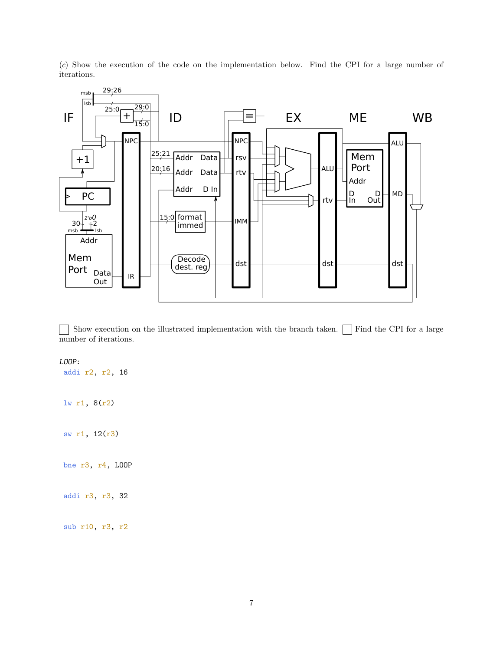(c) Show the execution of the code on the implementation below. Find the CPI for a large number of iterations.



Show execution on the illustrated implementation with the branch taken.  $\Box$  Find the CPI for a large number of iterations.

## LOOP:

addi r2, r2, 16 lw r1, 8(r2) sw r1, 12(r3)

bne r3, r4, LOOP

addi r3, r3, 32

sub r10, r3, r2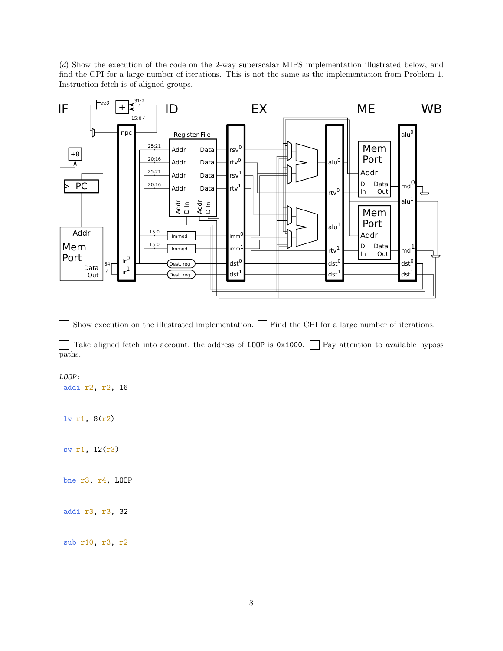(d) Show the execution of the code on the 2-way superscalar MIPS implementation illustrated below, and find the CPI for a large number of iterations. This is not the same as the implementation from Problem 1. Instruction fetch is of aligned groups.



Show execution on the illustrated implementation.  $\Box$  Find the CPI for a large number of iterations.  $\blacksquare$ 

Take aligned fetch into account, the address of LOOP is  $0x1000$ . Pay attention to available bypass paths.

## LOOP:

addi r2, r2, 16

lw r1, 8(r2)

sw r1, 12(r3)

bne r3, r4, LOOP

addi r3, r3, 32

sub r10, r3, r2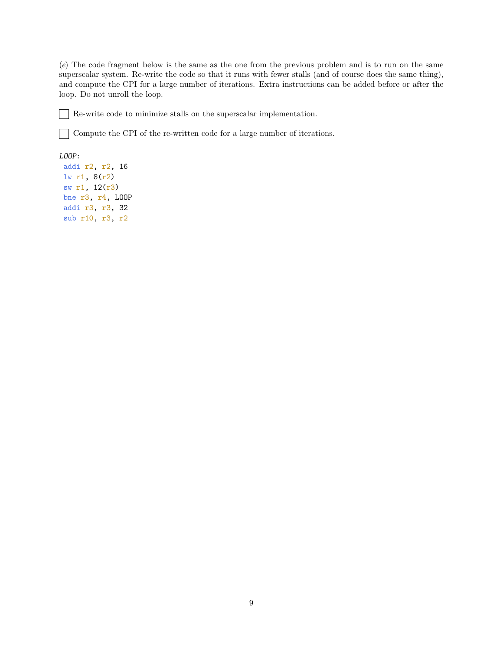(e) The code fragment below is the same as the one from the previous problem and is to run on the same superscalar system. Re-write the code so that it runs with fewer stalls (and of course does the same thing), and compute the CPI for a large number of iterations. Extra instructions can be added before or after the loop. Do not unroll the loop.

Re-write code to minimize stalls on the superscalar implementation.  $\blacksquare$ 

 $\fbox{1}$  Compute the CPI of the re-written code for a large number of iterations.

## LOOP:

addi r2, r2, 16 lw r1, 8(r2) sw r1, 12(r3) bne r3, r4, LOOP addi r3, r3, 32 sub r10, r3, r2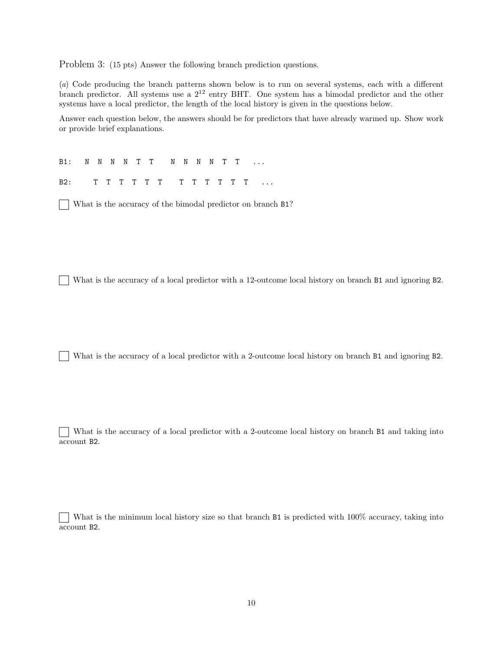Problem 3: (15 pts) Answer the following branch prediction questions.

(a) Code producing the branch patterns shown below is to run on several systems, each with a different branch predictor. All systems use a 2<sup>12</sup> entry BHT. One system has a bimodal predictor and the other systems have a local predictor, the length of the local history is given in the questions below.

Answer each question below, the answers should be for predictors that have already warmed up. Show work or provide brief explanations.

B1: N N N N T T N N N N T T ...

B2: T T T T T T T T T T T T ...

What is the accuracy of the bimodal predictor on branch B1?

What is the accuracy of a local predictor with a 12-outcome local history on branch B1 and ignoring B2.

What is the accuracy of a local predictor with a 2-outcome local history on branch B1 and ignoring B2.

What is the accuracy of a local predictor with a 2-outcome local history on branch B1 and taking into account B2.

What is the minimum local history size so that branch B1 is predicted with 100% accuracy, taking into account B2.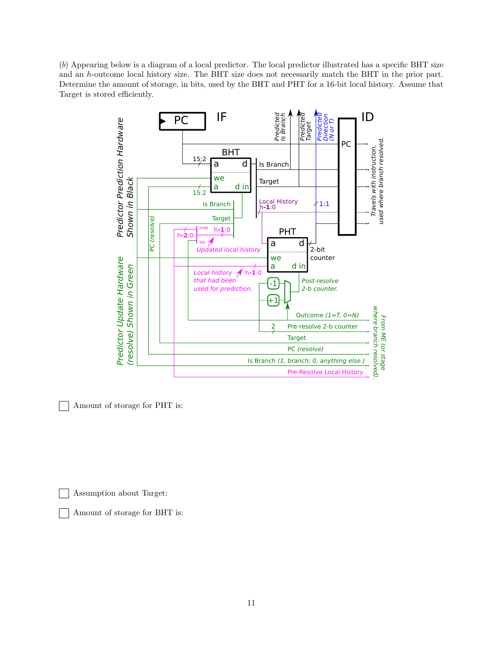(b) Appearing below is a diagram of a local predictor. The local predictor illustrated has a specific BHT size and an h-outcome local history size. The BHT size does not necessarily match the BHT in the prior part. Determine the amount of storage, in bits, used by the BHT and PHT for a 16-bit local history. Assume that Target is stored efficiently.



Amount of storage for PHT is:

Assumption about Target:

Amount of storage for BHT is: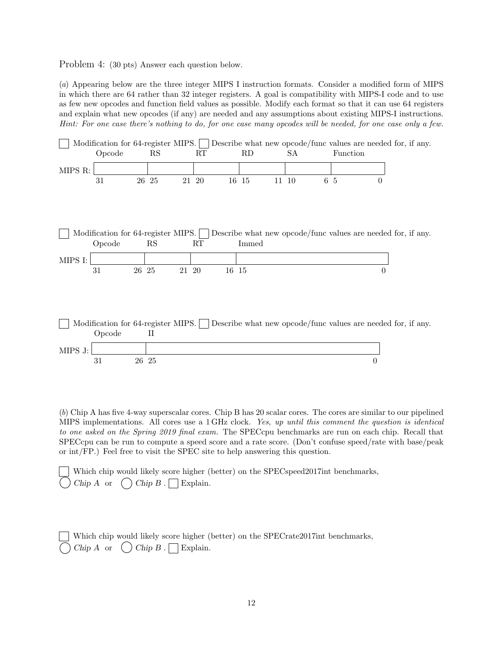Problem 4: (30 pts) Answer each question below.

(a) Appearing below are the three integer MIPS I instruction formats. Consider a modified form of MIPS in which there are 64 rather than 32 integer registers. A goal is compatibility with MIPS-I code and to use as few new opcodes and function field values as possible. Modify each format so that it can use 64 registers and explain what new opcodes (if any) are needed and any assumptions about existing MIPS-I instructions. Hint: For one case there's nothing to do, for one case many opcodes will be needed, for one case only a few.

|         | Modification for 64-register MIPS. |       |       |                   |       |       |       |       |          |          | Describe what new opcode/func values are needed for, if any. |
|---------|------------------------------------|-------|-------|-------------------|-------|-------|-------|-------|----------|----------|--------------------------------------------------------------|
|         | Opcode                             |       | RS    |                   | RT    |       | RD    | SА    | Function |          |                                                              |
|         |                                    |       |       |                   |       |       |       |       |          |          |                                                              |
| MIPS R: |                                    |       |       |                   |       |       |       |       |          |          |                                                              |
|         | 31                                 |       | 26 25 |                   | 21 20 |       | 16 15 | 11 10 | 6 5      | 0        |                                                              |
|         |                                    |       |       |                   |       |       |       |       |          |          |                                                              |
|         |                                    |       |       |                   |       |       |       |       |          |          |                                                              |
|         |                                    |       |       |                   |       |       |       |       |          |          |                                                              |
|         |                                    |       |       |                   |       |       |       |       |          |          |                                                              |
|         | Modification for 64-register MIPS. |       |       |                   |       |       |       |       |          |          | Describe what new opcode/func values are needed for, if any. |
|         | Opcode                             |       | RS    |                   | RT    |       | Immed |       |          |          |                                                              |
| MIPS I: |                                    |       |       |                   |       |       |       |       |          |          |                                                              |
|         | 31                                 | 26 25 |       | $21\hskip 4pt 20$ |       | 16 15 |       |       |          | $\theta$ |                                                              |
|         |                                    |       |       |                   |       |       |       |       |          |          |                                                              |
|         |                                    |       |       |                   |       |       |       |       |          |          |                                                              |
|         |                                    |       |       |                   |       |       |       |       |          |          |                                                              |
|         |                                    |       |       |                   |       |       |       |       |          |          |                                                              |
|         |                                    |       |       |                   |       |       |       |       |          |          |                                                              |
|         | Modification for 64-register MIPS. |       |       |                   |       |       |       |       |          |          | Describe what new opcode/func values are needed for, if any. |
|         | Opcode                             |       | П     |                   |       |       |       |       |          |          |                                                              |
| MIPS J: |                                    |       |       |                   |       |       |       |       |          |          |                                                              |
|         | 31                                 | 26 25 |       |                   |       |       |       |       |          | 0        |                                                              |

(b) Chip A has five 4-way superscalar cores. Chip B has 20 scalar cores. The cores are similar to our pipelined MIPS implementations. All cores use a 1 GHz clock. Yes, up until this comment the question is identical to one asked on the Spring 2019 final exam. The SPECcpu benchmarks are run on each chip. Recall that SPECcpu can be run to compute a speed score and a rate score. (Don't confuse speed/rate with base/peak or int/FP.) Feel free to visit the SPEC site to help answering this question.

|  | Which chip would likely score higher (better) on the SPECspeed2017int benchmarks, |  |
|--|-----------------------------------------------------------------------------------|--|
|  | $\bigcap$ Chip A or $\bigcap$ Chip B. $\bigcap$ Explain.                          |  |

| Which chip would likely score higher (better) on the SPECrate 2017int benchmarks, |
|-----------------------------------------------------------------------------------|
| $\bigcap$ Chip A or $\bigcirc$ Chip B. $\bigcap$ Explain.                         |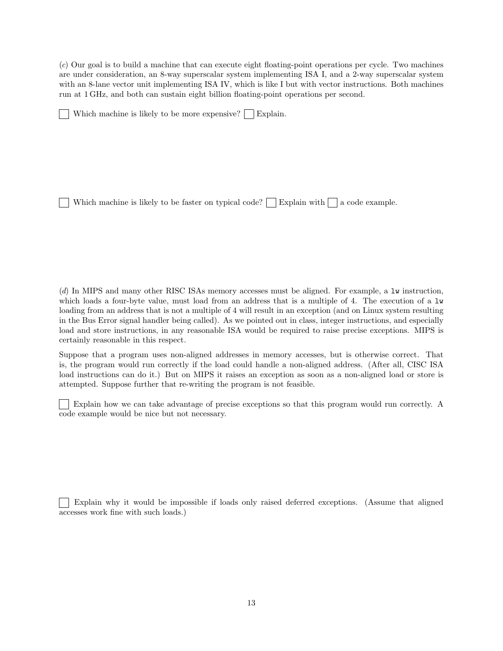(c) Our goal is to build a machine that can execute eight floating-point operations per cycle. Two machines are under consideration, an 8-way superscalar system implementing ISA I, and a 2-way superscalar system with an 8-lane vector unit implementing ISA IV, which is like I but with vector instructions. Both machines run at 1 GHz, and both can sustain eight billion floating-point operations per second.

Which machine is likely to be more expensive?  $\vert \vert$  Explain.

Which machine is likely to be faster on typical code?  $\Box$  Explain with  $\Box$  a code example.

(d) In MIPS and many other RISC ISAs memory accesses must be aligned. For example, a lw instruction, which loads a four-byte value, must load from an address that is a multiple of 4. The execution of a lw loading from an address that is not a multiple of 4 will result in an exception (and on Linux system resulting in the Bus Error signal handler being called). As we pointed out in class, integer instructions, and especially load and store instructions, in any reasonable ISA would be required to raise precise exceptions. MIPS is certainly reasonable in this respect.

Suppose that a program uses non-aligned addresses in memory accesses, but is otherwise correct. That is, the program would run correctly if the load could handle a non-aligned address. (After all, CISC ISA load instructions can do it.) But on MIPS it raises an exception as soon as a non-aligned load or store is attempted. Suppose further that re-writing the program is not feasible.

Explain how we can take advantage of precise exceptions so that this program would run correctly. A code example would be nice but not necessary.

Explain why it would be impossible if loads only raised deferred exceptions. (Assume that aligned accesses work fine with such loads.)